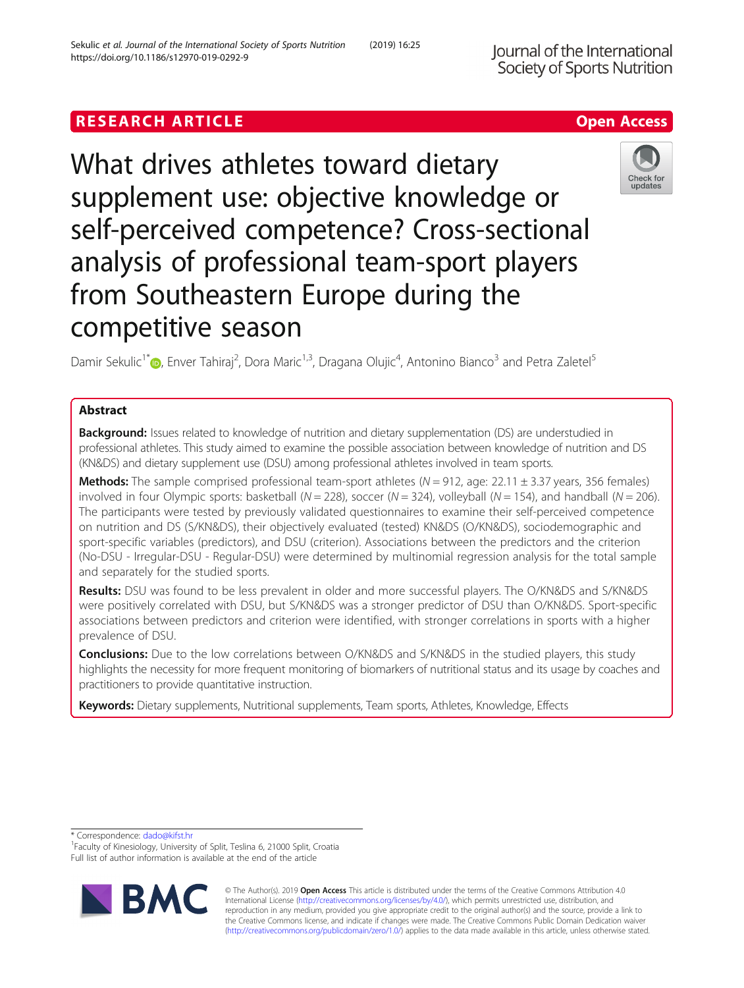# **RESEARCH ARTICLE Example 2018 12:30 The Contract of Contract ACCESS**

What drives athletes toward dietary supplement use: objective knowledge or self-perceived competence? Cross-sectional analysis of professional team-sport players from Southeastern Europe during the competitive season

Damir Sekulic<sup>1[\\*](http://orcid.org/0000-0001-8022-7886)</sup> D, Enver Tahiraj<sup>2</sup>, Dora Maric<sup>1,3</sup>, Dragana Olujic<sup>4</sup>, Antonino Bianco<sup>3</sup> and Petra Zaletel<sup>5</sup>

# Abstract

**Background:** Issues related to knowledge of nutrition and dietary supplementation (DS) are understudied in professional athletes. This study aimed to examine the possible association between knowledge of nutrition and DS (KN&DS) and dietary supplement use (DSU) among professional athletes involved in team sports.

**Methods:** The sample comprised professional team-sport athletes ( $N = 912$ , age: 22.11  $\pm$  3.37 years, 356 females) involved in four Olympic sports: basketball ( $N = 228$ ), soccer ( $N = 324$ ), volleyball ( $N = 154$ ), and handball ( $N = 206$ ). The participants were tested by previously validated questionnaires to examine their self-perceived competence on nutrition and DS (S/KN&DS), their objectively evaluated (tested) KN&DS (O/KN&DS), sociodemographic and sport-specific variables (predictors), and DSU (criterion). Associations between the predictors and the criterion (No-DSU - Irregular-DSU - Regular-DSU) were determined by multinomial regression analysis for the total sample and separately for the studied sports.

Results: DSU was found to be less prevalent in older and more successful players. The O/KN&DS and S/KN&DS were positively correlated with DSU, but S/KN&DS was a stronger predictor of DSU than O/KN&DS. Sport-specific associations between predictors and criterion were identified, with stronger correlations in sports with a higher prevalence of DSU.

Conclusions: Due to the low correlations between O/KN&DS and S/KN&DS in the studied players, this study highlights the necessity for more frequent monitoring of biomarkers of nutritional status and its usage by coaches and practitioners to provide quantitative instruction.

Keywords: Dietary supplements, Nutritional supplements, Team sports, Athletes, Knowledge, Effects

<sup>1</sup>Faculty of Kinesiology, University of Split, Teslina 6, 21000 Split, Croatia Full list of author information is available at the end of the article

> © The Author(s). 2019 **Open Access** This article is distributed under the terms of the Creative Commons Attribution 4.0 International License [\(http://creativecommons.org/licenses/by/4.0/](http://creativecommons.org/licenses/by/4.0/)), which permits unrestricted use, distribution, and reproduction in any medium, provided you give appropriate credit to the original author(s) and the source, provide a link to the Creative Commons license, and indicate if changes were made. The Creative Commons Public Domain Dedication waiver [\(http://creativecommons.org/publicdomain/zero/1.0/](http://creativecommons.org/publicdomain/zero/1.0/)) applies to the data made available in this article, unless otherwise stated.

\* Correspondence: [dado@kifst.hr](mailto:dado@kifst.hr) <sup>1</sup>





Sekulic et al. Journal of the International Society of Sports Nutrition (2019) 16:25 https://doi.org/10.1186/s12970-019-0292-9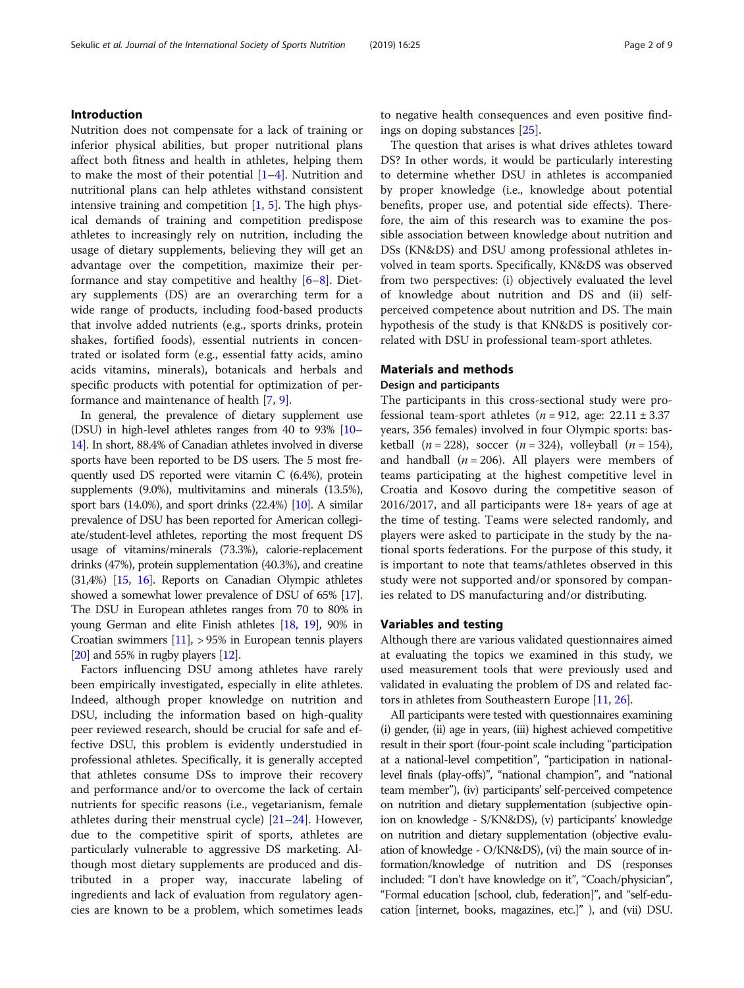Nutrition does not compensate for a lack of training or inferior physical abilities, but proper nutritional plans affect both fitness and health in athletes, helping them to make the most of their potential  $[1-4]$  $[1-4]$  $[1-4]$  $[1-4]$ . Nutrition and nutritional plans can help athletes withstand consistent intensive training and competition  $[1, 5]$  $[1, 5]$  $[1, 5]$  $[1, 5]$ . The high physical demands of training and competition predispose athletes to increasingly rely on nutrition, including the usage of dietary supplements, believing they will get an advantage over the competition, maximize their performance and stay competitive and healthy [[6](#page-8-0)–[8\]](#page-8-0). Dietary supplements (DS) are an overarching term for a wide range of products, including food-based products that involve added nutrients (e.g., sports drinks, protein shakes, fortified foods), essential nutrients in concentrated or isolated form (e.g., essential fatty acids, amino acids vitamins, minerals), botanicals and herbals and specific products with potential for optimization of performance and maintenance of health [[7](#page-8-0), [9](#page-8-0)].

In general, the prevalence of dietary supplement use (DSU) in high-level athletes ranges from 40 to 93% [\[10](#page-8-0)– [14](#page-8-0)]. In short, 88.4% of Canadian athletes involved in diverse sports have been reported to be DS users. The 5 most frequently used DS reported were vitamin C (6.4%), protein supplements (9.0%), multivitamins and minerals (13.5%), sport bars (14.0%), and sport drinks (22.4%) [\[10\]](#page-8-0). A similar prevalence of DSU has been reported for American collegiate/student-level athletes, reporting the most frequent DS usage of vitamins/minerals (73.3%), calorie-replacement drinks (47%), protein supplementation (40.3%), and creatine (31,4%) [\[15,](#page-8-0) [16](#page-8-0)]. Reports on Canadian Olympic athletes showed a somewhat lower prevalence of DSU of 65% [\[17](#page-8-0)]. The DSU in European athletes ranges from 70 to 80% in young German and elite Finish athletes [\[18,](#page-8-0) [19\]](#page-8-0), 90% in Croatian swimmers [\[11\]](#page-8-0), > 95% in European tennis players [[20](#page-8-0)] and 55% in rugby players [\[12\]](#page-8-0).

Factors influencing DSU among athletes have rarely been empirically investigated, especially in elite athletes. Indeed, although proper knowledge on nutrition and DSU, including the information based on high-quality peer reviewed research, should be crucial for safe and effective DSU, this problem is evidently understudied in professional athletes. Specifically, it is generally accepted that athletes consume DSs to improve their recovery and performance and/or to overcome the lack of certain nutrients for specific reasons (i.e., vegetarianism, female athletes during their menstrual cycle) [\[21](#page-8-0)–[24\]](#page-8-0). However, due to the competitive spirit of sports, athletes are particularly vulnerable to aggressive DS marketing. Although most dietary supplements are produced and distributed in a proper way, inaccurate labeling of ingredients and lack of evaluation from regulatory agencies are known to be a problem, which sometimes leads to negative health consequences and even positive findings on doping substances [\[25](#page-8-0)].

The question that arises is what drives athletes toward DS? In other words, it would be particularly interesting to determine whether DSU in athletes is accompanied by proper knowledge (i.e., knowledge about potential benefits, proper use, and potential side effects). Therefore, the aim of this research was to examine the possible association between knowledge about nutrition and DSs (KN&DS) and DSU among professional athletes involved in team sports. Specifically, KN&DS was observed from two perspectives: (i) objectively evaluated the level of knowledge about nutrition and DS and (ii) selfperceived competence about nutrition and DS. The main hypothesis of the study is that KN&DS is positively correlated with DSU in professional team-sport athletes.

# Materials and methods

# Design and participants

The participants in this cross-sectional study were professional team-sport athletes ( $n = 912$ , age:  $22.11 \pm 3.37$ years, 356 females) involved in four Olympic sports: basketball  $(n = 228)$ , soccer  $(n = 324)$ , volleyball  $(n = 154)$ , and handball  $(n = 206)$ . All players were members of teams participating at the highest competitive level in Croatia and Kosovo during the competitive season of 2016/2017, and all participants were 18+ years of age at the time of testing. Teams were selected randomly, and players were asked to participate in the study by the national sports federations. For the purpose of this study, it is important to note that teams/athletes observed in this study were not supported and/or sponsored by companies related to DS manufacturing and/or distributing.

### Variables and testing

Although there are various validated questionnaires aimed at evaluating the topics we examined in this study, we used measurement tools that were previously used and validated in evaluating the problem of DS and related factors in athletes from Southeastern Europe [[11](#page-8-0), [26\]](#page-8-0).

All participants were tested with questionnaires examining (i) gender, (ii) age in years, (iii) highest achieved competitive result in their sport (four-point scale including "participation at a national-level competition", "participation in nationallevel finals (play-offs)", "national champion", and "national team member"), (iv) participants' self-perceived competence on nutrition and dietary supplementation (subjective opinion on knowledge - S/KN&DS), (v) participants' knowledge on nutrition and dietary supplementation (objective evaluation of knowledge - O/KN&DS), (vi) the main source of information/knowledge of nutrition and DS (responses included: "I don't have knowledge on it", "Coach/physician", "Formal education [school, club, federation]", and "self-education [internet, books, magazines, etc.]" ), and (vii) DSU.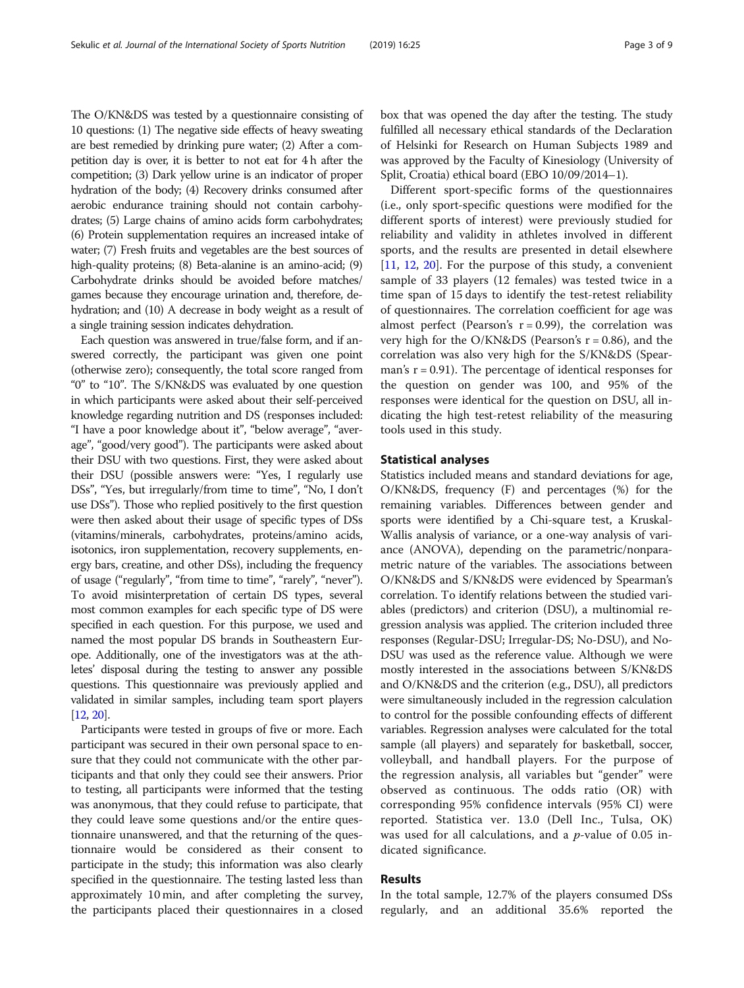The O/KN&DS was tested by a questionnaire consisting of 10 questions: (1) The negative side effects of heavy sweating are best remedied by drinking pure water; (2) After a competition day is over, it is better to not eat for 4 h after the competition; (3) Dark yellow urine is an indicator of proper hydration of the body; (4) Recovery drinks consumed after aerobic endurance training should not contain carbohydrates; (5) Large chains of amino acids form carbohydrates; (6) Protein supplementation requires an increased intake of water; (7) Fresh fruits and vegetables are the best sources of high-quality proteins; (8) Beta-alanine is an amino-acid; (9) Carbohydrate drinks should be avoided before matches/ games because they encourage urination and, therefore, dehydration; and (10) A decrease in body weight as a result of a single training session indicates dehydration.

Each question was answered in true/false form, and if answered correctly, the participant was given one point (otherwise zero); consequently, the total score ranged from "0" to "10". The S/KN&DS was evaluated by one question in which participants were asked about their self-perceived knowledge regarding nutrition and DS (responses included: "I have a poor knowledge about it", "below average", "average", "good/very good"). The participants were asked about their DSU with two questions. First, they were asked about their DSU (possible answers were: "Yes, I regularly use DSs", "Yes, but irregularly/from time to time", "No, I don't use DSs"). Those who replied positively to the first question were then asked about their usage of specific types of DSs (vitamins/minerals, carbohydrates, proteins/amino acids, isotonics, iron supplementation, recovery supplements, energy bars, creatine, and other DSs), including the frequency of usage ("regularly", "from time to time", "rarely", "never"). To avoid misinterpretation of certain DS types, several most common examples for each specific type of DS were specified in each question. For this purpose, we used and named the most popular DS brands in Southeastern Europe. Additionally, one of the investigators was at the athletes' disposal during the testing to answer any possible questions. This questionnaire was previously applied and validated in similar samples, including team sport players [[12](#page-8-0), [20](#page-8-0)].

Participants were tested in groups of five or more. Each participant was secured in their own personal space to ensure that they could not communicate with the other participants and that only they could see their answers. Prior to testing, all participants were informed that the testing was anonymous, that they could refuse to participate, that they could leave some questions and/or the entire questionnaire unanswered, and that the returning of the questionnaire would be considered as their consent to participate in the study; this information was also clearly specified in the questionnaire. The testing lasted less than approximately 10 min, and after completing the survey, the participants placed their questionnaires in a closed

box that was opened the day after the testing. The study fulfilled all necessary ethical standards of the Declaration of Helsinki for Research on Human Subjects 1989 and was approved by the Faculty of Kinesiology (University of Split, Croatia) ethical board (EBO 10/09/2014–1).

Different sport-specific forms of the questionnaires (i.e., only sport-specific questions were modified for the different sports of interest) were previously studied for reliability and validity in athletes involved in different sports, and the results are presented in detail elsewhere [[11,](#page-8-0) [12](#page-8-0), [20\]](#page-8-0). For the purpose of this study, a convenient sample of 33 players (12 females) was tested twice in a time span of 15 days to identify the test-retest reliability of questionnaires. The correlation coefficient for age was almost perfect (Pearson's  $r = 0.99$ ), the correlation was very high for the O/KN&DS (Pearson's  $r = 0.86$ ), and the correlation was also very high for the S/KN&DS (Spearman's  $r = 0.91$ ). The percentage of identical responses for the question on gender was 100, and 95% of the responses were identical for the question on DSU, all indicating the high test-retest reliability of the measuring tools used in this study.

### Statistical analyses

Statistics included means and standard deviations for age, O/KN&DS, frequency (F) and percentages (%) for the remaining variables. Differences between gender and sports were identified by a Chi-square test, a Kruskal-Wallis analysis of variance, or a one-way analysis of variance (ANOVA), depending on the parametric/nonparametric nature of the variables. The associations between O/KN&DS and S/KN&DS were evidenced by Spearman's correlation. To identify relations between the studied variables (predictors) and criterion (DSU), a multinomial regression analysis was applied. The criterion included three responses (Regular-DSU; Irregular-DS; No-DSU), and No-DSU was used as the reference value. Although we were mostly interested in the associations between S/KN&DS and O/KN&DS and the criterion (e.g., DSU), all predictors were simultaneously included in the regression calculation to control for the possible confounding effects of different variables. Regression analyses were calculated for the total sample (all players) and separately for basketball, soccer, volleyball, and handball players. For the purpose of the regression analysis, all variables but "gender" were observed as continuous. The odds ratio (OR) with corresponding 95% confidence intervals (95% CI) were reported. Statistica ver. 13.0 (Dell Inc., Tulsa, OK) was used for all calculations, and a  $p$ -value of 0.05 indicated significance.

# Results

In the total sample, 12.7% of the players consumed DSs regularly, and an additional 35.6% reported the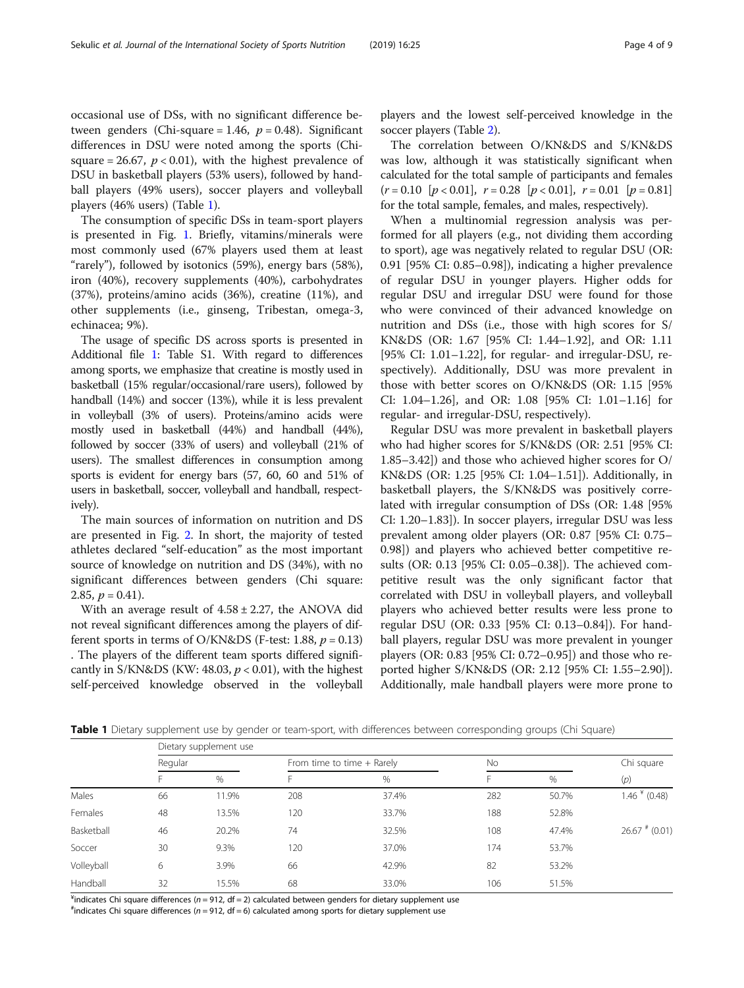occasional use of DSs, with no significant difference between genders (Chi-square = 1.46,  $p = 0.48$ ). Significant differences in DSU were noted among the sports (Chisquare = 26.67,  $p < 0.01$ ), with the highest prevalence of DSU in basketball players (53% users), followed by handball players (49% users), soccer players and volleyball players (46% users) (Table 1).

The consumption of specific DSs in team-sport players is presented in Fig. [1](#page-4-0). Briefly, vitamins/minerals were most commonly used (67% players used them at least "rarely"), followed by isotonics (59%), energy bars (58%), iron (40%), recovery supplements (40%), carbohydrates (37%), proteins/amino acids (36%), creatine (11%), and other supplements (i.e., ginseng, Tribestan, omega-3, echinacea; 9%).

The usage of specific DS across sports is presented in Additional file [1:](#page-7-0) Table S1. With regard to differences among sports, we emphasize that creatine is mostly used in basketball (15% regular/occasional/rare users), followed by handball (14%) and soccer (13%), while it is less prevalent in volleyball (3% of users). Proteins/amino acids were mostly used in basketball (44%) and handball (44%), followed by soccer (33% of users) and volleyball (21% of users). The smallest differences in consumption among sports is evident for energy bars (57, 60, 60 and 51% of users in basketball, soccer, volleyball and handball, respectively).

The main sources of information on nutrition and DS are presented in Fig. [2.](#page-4-0) In short, the majority of tested athletes declared "self-education" as the most important source of knowledge on nutrition and DS (34%), with no significant differences between genders (Chi square: 2.85,  $p = 0.41$ ).

With an average result of  $4.58 \pm 2.27$ , the ANOVA did not reveal significant differences among the players of different sports in terms of O/KN&DS (F-test: 1.88,  $p = 0.13$ ) . The players of the different team sports differed significantly in S/KN&DS (KW: 48.03,  $p < 0.01$ ), with the highest self-perceived knowledge observed in the volleyball

players and the lowest self-perceived knowledge in the soccer players (Table [2](#page-5-0)).

The correlation between O/KN&DS and S/KN&DS was low, although it was statistically significant when calculated for the total sample of participants and females  $(r = 0.10$   $[p < 0.01]$ ,  $r = 0.28$   $[p < 0.01]$ ,  $r = 0.01$   $[p = 0.81]$ for the total sample, females, and males, respectively).

When a multinomial regression analysis was performed for all players (e.g., not dividing them according to sport), age was negatively related to regular DSU (OR: 0.91 [95% CI: 0.85–0.98]), indicating a higher prevalence of regular DSU in younger players. Higher odds for regular DSU and irregular DSU were found for those who were convinced of their advanced knowledge on nutrition and DSs (i.e., those with high scores for S/ KN&DS (OR: 1.67 [95% CI: 1.44–1.92], and OR: 1.11 [95% CI: 1.01–1.22], for regular- and irregular-DSU, respectively). Additionally, DSU was more prevalent in those with better scores on O/KN&DS (OR: 1.15 [95% CI: 1.04–1.26], and OR: 1.08 [95% CI: 1.01–1.16] for regular- and irregular-DSU, respectively).

Regular DSU was more prevalent in basketball players who had higher scores for S/KN&DS (OR: 2.51 [95% CI: 1.85–3.42]) and those who achieved higher scores for O/ KN&DS (OR: 1.25 [95% CI: 1.04–1.51]). Additionally, in basketball players, the S/KN&DS was positively correlated with irregular consumption of DSs (OR: 1.48 [95% CI: 1.20–1.83]). In soccer players, irregular DSU was less prevalent among older players (OR: 0.87 [95% CI: 0.75– 0.98]) and players who achieved better competitive results (OR: 0.13 [95% CI: 0.05–0.38]). The achieved competitive result was the only significant factor that correlated with DSU in volleyball players, and volleyball players who achieved better results were less prone to regular DSU (OR: 0.33 [95% CI: 0.13–0.84]). For handball players, regular DSU was more prevalent in younger players (OR: 0.83 [95% CI: 0.72–0.95]) and those who reported higher S/KN&DS (OR: 2.12 [95% CI: 1.55–2.90]). Additionally, male handball players were more prone to

Table 1 Dietary supplement use by gender or team-sport, with differences between corresponding groups (Chi Square)

|            | Dietary supplement use |       |                              |       |     |       |                   |  |
|------------|------------------------|-------|------------------------------|-------|-----|-------|-------------------|--|
|            | Regular                |       | From time to time $+$ Rarely |       | No  |       | Chi square        |  |
|            |                        | $\%$  |                              | $\%$  | F   | $\%$  | (p)               |  |
| Males      | 66                     | 11.9% | 208                          | 37.4% | 282 | 50.7% | $1.46* (0.48)$    |  |
| Females    | 48                     | 13.5% | 120                          | 33.7% | 188 | 52.8% |                   |  |
| Basketball | 46                     | 20.2% | 74                           | 32.5% | 108 | 47.4% | $26.67$ $*(0.01)$ |  |
| Soccer     | 30                     | 9.3%  | 120                          | 37.0% | 174 | 53.7% |                   |  |
| Volleyball | 6                      | 3.9%  | 66                           | 42.9% | 82  | 53.2% |                   |  |
| Handball   | 32                     | 15.5% | 68                           | 33.0% | 106 | 51.5% |                   |  |

 $^{4}$ indicates Chi square differences (n = 912, df = 2) calculated between genders for dietary supplement use<br>#indicates Chi square differences (n = 912, df = 6) calculated among sports for dietary supplement use

 $"indicates Chi square differences (n = 912, df = 6) calculated among sports for dietary supplement use$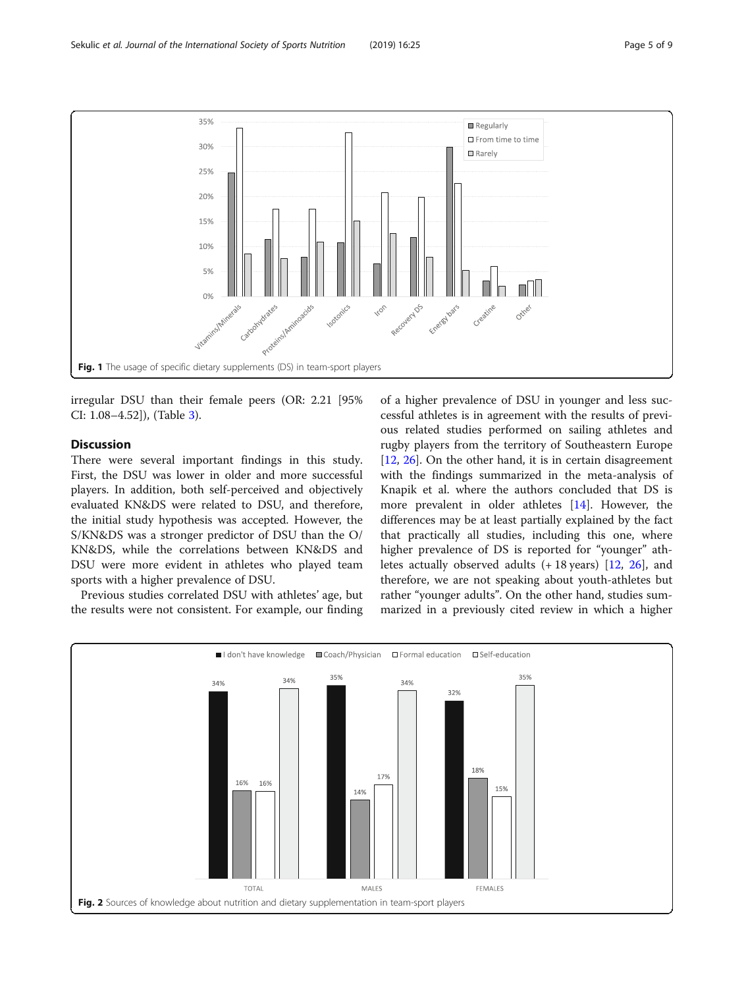<span id="page-4-0"></span>

irregular DSU than their female peers (OR: 2.21 [95% CI: 1.08–4.52]), (Table [3](#page-6-0)).

# **Discussion**

There were several important findings in this study. First, the DSU was lower in older and more successful players. In addition, both self-perceived and objectively evaluated KN&DS were related to DSU, and therefore, the initial study hypothesis was accepted. However, the S/KN&DS was a stronger predictor of DSU than the O/ KN&DS, while the correlations between KN&DS and DSU were more evident in athletes who played team sports with a higher prevalence of DSU.

Previous studies correlated DSU with athletes' age, but the results were not consistent. For example, our finding of a higher prevalence of DSU in younger and less successful athletes is in agreement with the results of previous related studies performed on sailing athletes and rugby players from the territory of Southeastern Europe [[12,](#page-8-0) [26\]](#page-8-0). On the other hand, it is in certain disagreement with the findings summarized in the meta-analysis of Knapik et al. where the authors concluded that DS is more prevalent in older athletes [[14](#page-8-0)]. However, the differences may be at least partially explained by the fact that practically all studies, including this one, where higher prevalence of DS is reported for "younger" athletes actually observed adults (+ 18 years) [\[12](#page-8-0), [26\]](#page-8-0), and therefore, we are not speaking about youth-athletes but rather "younger adults". On the other hand, studies summarized in a previously cited review in which a higher

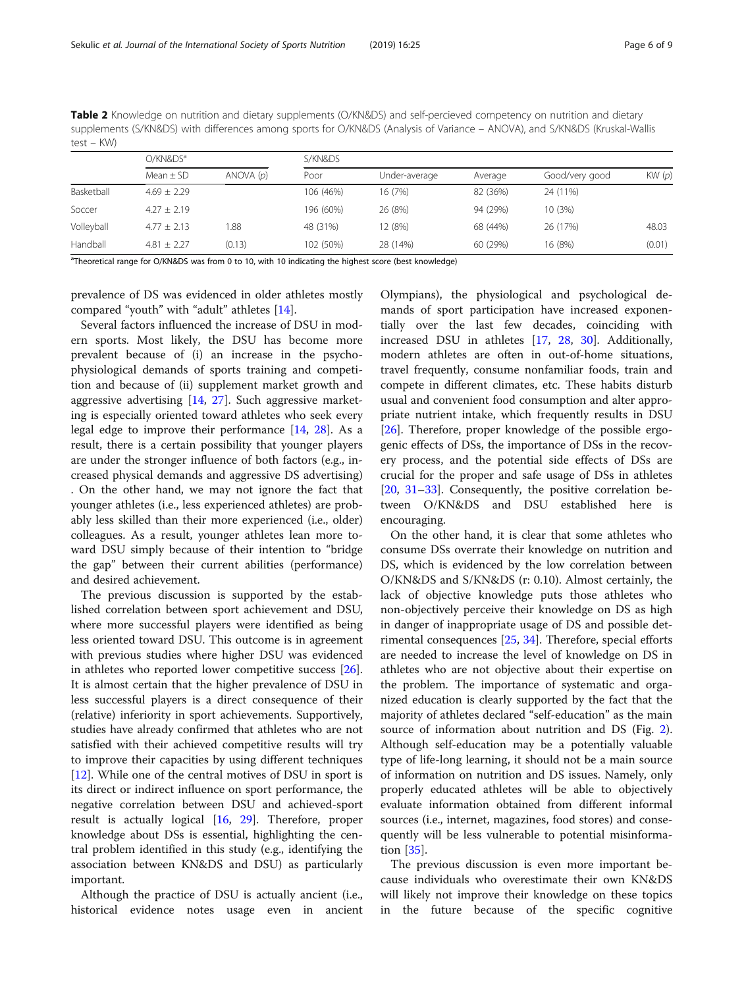<span id="page-5-0"></span>Table 2 Knowledge on nutrition and dietary supplements (O/KN&DS) and self-percieved competency on nutrition and dietary supplements (S/KN&DS) with differences among sports for O/KN&DS (Analysis of Variance – ANOVA), and S/KN&DS (Kruskal-Wallis test – KW)

|            | O/KN&DSª        |          | S/KN&DS   |               |          |                |        |  |
|------------|-----------------|----------|-----------|---------------|----------|----------------|--------|--|
|            | Mean $\pm$ SD   | ANOVA(p) | Poor      | Under-average | Average  | Good/very good | KW(p)  |  |
| Basketball | $4.69 \pm 2.29$ |          | 106 (46%) | 16 (7%)       | 82 (36%) | 24 (11%)       |        |  |
| Soccer     | $4.27 \pm 2.19$ |          | 196 (60%) | 26 (8%)       | 94 (29%) | 10(3%)         |        |  |
| Volleyball | $4.77 + 2.13$   | .88      | 48 (31%)  | 12 (8%)       | 68 (44%) | 26 (17%)       | 48.03  |  |
| Handball   | $4.81 \pm 2.27$ | (0.13)   | 102 (50%) | 28 (14%)      | 60 (29%) | 16 (8%)        | (0.01) |  |

<sup>a</sup>Theoretical range for O/KN&DS was from 0 to 10, with 10 indicating the highest score (best knowledge)

prevalence of DS was evidenced in older athletes mostly compared "youth" with "adult" athletes [[14](#page-8-0)].

Several factors influenced the increase of DSU in modern sports. Most likely, the DSU has become more prevalent because of (i) an increase in the psychophysiological demands of sports training and competition and because of (ii) supplement market growth and aggressive advertising [[14](#page-8-0), [27\]](#page-8-0). Such aggressive marketing is especially oriented toward athletes who seek every legal edge to improve their performance [\[14](#page-8-0), [28](#page-8-0)]. As a result, there is a certain possibility that younger players are under the stronger influence of both factors (e.g., increased physical demands and aggressive DS advertising) . On the other hand, we may not ignore the fact that younger athletes (i.e., less experienced athletes) are probably less skilled than their more experienced (i.e., older) colleagues. As a result, younger athletes lean more toward DSU simply because of their intention to "bridge the gap" between their current abilities (performance) and desired achievement.

The previous discussion is supported by the established correlation between sport achievement and DSU, where more successful players were identified as being less oriented toward DSU. This outcome is in agreement with previous studies where higher DSU was evidenced in athletes who reported lower competitive success [\[26](#page-8-0)]. It is almost certain that the higher prevalence of DSU in less successful players is a direct consequence of their (relative) inferiority in sport achievements. Supportively, studies have already confirmed that athletes who are not satisfied with their achieved competitive results will try to improve their capacities by using different techniques [[12\]](#page-8-0). While one of the central motives of DSU in sport is its direct or indirect influence on sport performance, the negative correlation between DSU and achieved-sport result is actually logical [\[16](#page-8-0), [29\]](#page-8-0). Therefore, proper knowledge about DSs is essential, highlighting the central problem identified in this study (e.g., identifying the association between KN&DS and DSU) as particularly important.

Although the practice of DSU is actually ancient (i.e., historical evidence notes usage even in ancient Olympians), the physiological and psychological demands of sport participation have increased exponentially over the last few decades, coinciding with increased DSU in athletes [\[17,](#page-8-0) [28,](#page-8-0) [30\]](#page-8-0). Additionally, modern athletes are often in out-of-home situations, travel frequently, consume nonfamiliar foods, train and compete in different climates, etc. These habits disturb usual and convenient food consumption and alter appropriate nutrient intake, which frequently results in DSU [[26\]](#page-8-0). Therefore, proper knowledge of the possible ergogenic effects of DSs, the importance of DSs in the recovery process, and the potential side effects of DSs are crucial for the proper and safe usage of DSs in athletes [[20,](#page-8-0) [31](#page-8-0)–[33](#page-8-0)]. Consequently, the positive correlation between O/KN&DS and DSU established here is encouraging.

On the other hand, it is clear that some athletes who consume DSs overrate their knowledge on nutrition and DS, which is evidenced by the low correlation between O/KN&DS and S/KN&DS (r: 0.10). Almost certainly, the lack of objective knowledge puts those athletes who non-objectively perceive their knowledge on DS as high in danger of inappropriate usage of DS and possible detrimental consequences [\[25,](#page-8-0) [34\]](#page-8-0). Therefore, special efforts are needed to increase the level of knowledge on DS in athletes who are not objective about their expertise on the problem. The importance of systematic and organized education is clearly supported by the fact that the majority of athletes declared "self-education" as the main source of information about nutrition and DS (Fig. [2](#page-4-0)). Although self-education may be a potentially valuable type of life-long learning, it should not be a main source of information on nutrition and DS issues. Namely, only properly educated athletes will be able to objectively evaluate information obtained from different informal sources (i.e., internet, magazines, food stores) and consequently will be less vulnerable to potential misinformation [\[35\]](#page-8-0).

The previous discussion is even more important because individuals who overestimate their own KN&DS will likely not improve their knowledge on these topics in the future because of the specific cognitive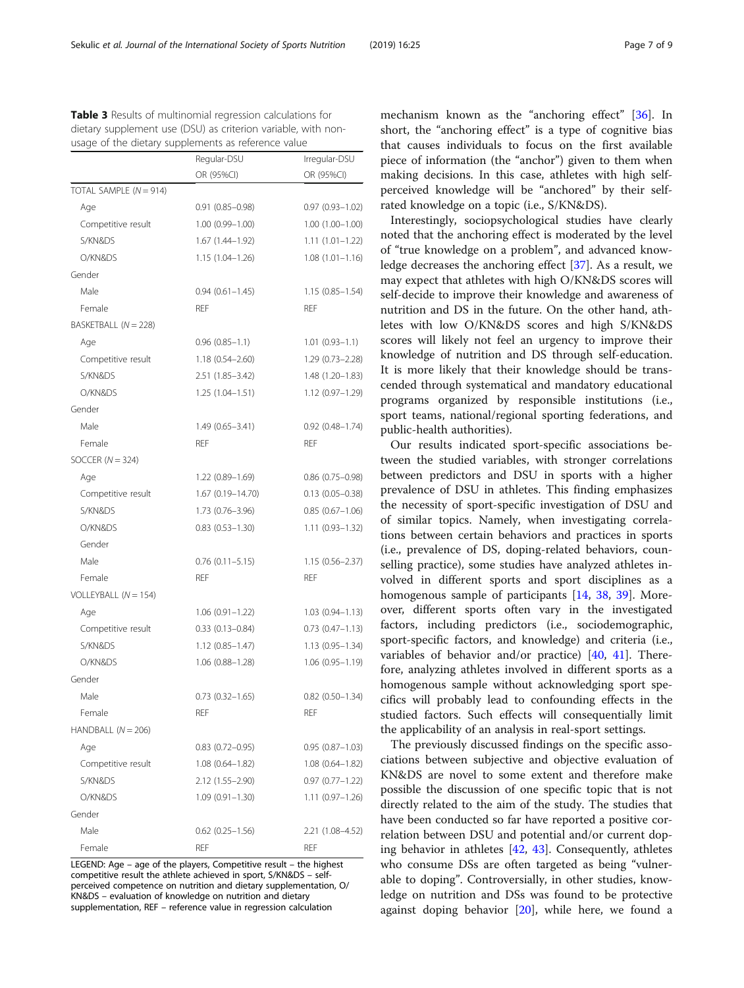<span id="page-6-0"></span>Table 3 Results of multinomial regression calculations for dietary supplement use (DSU) as criterion variable, with nonusage of the dietary supplements as reference value

|                          | Regular-DSU            | Irregular-DSU          |
|--------------------------|------------------------|------------------------|
|                          | OR (95%CI)             | OR (95%CI)             |
| TOTAL SAMPLE $(N = 914)$ |                        |                        |
| Age                      | $0.91(0.85 - 0.98)$    | $0.97(0.93 - 1.02)$    |
| Competitive result       | $1.00(0.99 - 1.00)$    | $1.00(1.00-1.00)$      |
| S/KN&DS                  | 1.67 (1.44-1.92)       | $1.11(1.01-1.22)$      |
| O/KN&DS                  | $1.15(1.04-1.26)$      | $1.08(1.01-1.16)$      |
| Gender                   |                        |                        |
| Male                     | $0.94(0.61 - 1.45)$    | $1.15(0.85 - 1.54)$    |
| Female                   | REF                    | REF                    |
| BASKETBALL $(N = 228)$   |                        |                        |
| Age                      | $0.96(0.85-1.1)$       | $1.01(0.93 - 1.1)$     |
| Competitive result       | $1.18(0.54 - 2.60)$    | 1.29 (0.73-2.28)       |
| S/KN&DS                  | 2.51 (1.85-3.42)       | 1.48 (1.20–1.83)       |
| O/KN&DS                  | $1.25(1.04-1.51)$      | $1.12(0.97 - 1.29)$    |
| Gender                   |                        |                        |
| Male                     | $1.49(0.65 - 3.41)$    | $0.92(0.48 - 1.74)$    |
| Female                   | <b>RFF</b>             | <b>RFF</b>             |
| SOCCER $(N = 324)$       |                        |                        |
| Age                      | $1.22(0.89 - 1.69)$    | $0.86$ (0.75-0.98)     |
| Competitive result       | 1.67 (0.19-14.70)      | $0.13(0.05 - 0.38)$    |
| S/KN&DS                  | 1.73 (0.76-3.96)       | $0.85(0.67-1.06)$      |
| O/KN&DS                  | $0.83$ $(0.53 - 1.30)$ | $1.11(0.93 - 1.32)$    |
| Gender                   |                        |                        |
| Male                     | $0.76$ $(0.11 - 5.15)$ | $1.15(0.56 - 2.37)$    |
| Female                   | REF                    | REF                    |
| VOLLEYBALL $(N = 154)$   |                        |                        |
| Age                      | $1.06(0.91 - 1.22)$    | $1.03(0.94 - 1.13)$    |
| Competitive result       | $0.33$ $(0.13 - 0.84)$ | $0.73$ $(0.47 - 1.13)$ |
| S/KN&DS                  | $1.12(0.85 - 1.47)$    | $1.13(0.95 - 1.34)$    |
| O/KN&DS                  | $1.06(0.88 - 1.28)$    | $1.06(0.95 - 1.19)$    |
| Gender                   |                        |                        |
| Male                     | $0.73$ $(0.32 - 1.65)$ | $0.82$ (0.50-1.34)     |
| Female                   | REF                    | REF                    |
| HANDBALL $(N = 206)$     |                        |                        |
| Age                      | $0.83$ $(0.72 - 0.95)$ | $0.95(0.87 - 1.03)$    |
| Competitive result       | $1.08(0.64 - 1.82)$    | $1.08(0.64 - 1.82)$    |
| S/KN&DS                  | $2.12(1.55 - 2.90)$    | $0.97(0.77 - 1.22)$    |
| O/KN&DS                  | $1.09(0.91 - 1.30)$    | $1.11(0.97-1.26)$      |
| Gender                   |                        |                        |
| Male                     | $0.62$ $(0.25 - 1.56)$ | 2.21 (1.08-4.52)       |
| Female                   | REF                    | REF                    |

LEGEND: Age – age of the players, Competitive result – the highest competitive result the athlete achieved in sport, S/KN&DS – selfperceived competence on nutrition and dietary supplementation, O/ KN&DS – evaluation of knowledge on nutrition and dietary supplementation, REF – reference value in regression calculation

mechanism known as the "anchoring effect" [[36\]](#page-8-0). In short, the "anchoring effect" is a type of cognitive bias that causes individuals to focus on the first available piece of information (the "anchor") given to them when making decisions. In this case, athletes with high selfperceived knowledge will be "anchored" by their selfrated knowledge on a topic (i.e., S/KN&DS).

Interestingly, sociopsychological studies have clearly noted that the anchoring effect is moderated by the level of "true knowledge on a problem", and advanced knowledge decreases the anchoring effect [\[37](#page-8-0)]. As a result, we may expect that athletes with high O/KN&DS scores will self-decide to improve their knowledge and awareness of nutrition and DS in the future. On the other hand, athletes with low O/KN&DS scores and high S/KN&DS scores will likely not feel an urgency to improve their knowledge of nutrition and DS through self-education. It is more likely that their knowledge should be transcended through systematical and mandatory educational programs organized by responsible institutions (i.e., sport teams, national/regional sporting federations, and public-health authorities).

Our results indicated sport-specific associations between the studied variables, with stronger correlations between predictors and DSU in sports with a higher prevalence of DSU in athletes. This finding emphasizes the necessity of sport-specific investigation of DSU and of similar topics. Namely, when investigating correlations between certain behaviors and practices in sports (i.e., prevalence of DS, doping-related behaviors, counselling practice), some studies have analyzed athletes involved in different sports and sport disciplines as a homogenous sample of participants [\[14](#page-8-0), [38](#page-8-0), [39](#page-8-0)]. Moreover, different sports often vary in the investigated factors, including predictors (i.e., sociodemographic, sport-specific factors, and knowledge) and criteria (i.e., variables of behavior and/or practice) [[40,](#page-8-0) [41\]](#page-8-0). Therefore, analyzing athletes involved in different sports as a homogenous sample without acknowledging sport specifics will probably lead to confounding effects in the studied factors. Such effects will consequentially limit the applicability of an analysis in real-sport settings.

The previously discussed findings on the specific associations between subjective and objective evaluation of KN&DS are novel to some extent and therefore make possible the discussion of one specific topic that is not directly related to the aim of the study. The studies that have been conducted so far have reported a positive correlation between DSU and potential and/or current doping behavior in athletes [\[42](#page-8-0), [43](#page-8-0)]. Consequently, athletes who consume DSs are often targeted as being "vulnerable to doping". Controversially, in other studies, knowledge on nutrition and DSs was found to be protective against doping behavior  $[20]$  $[20]$  $[20]$ , while here, we found a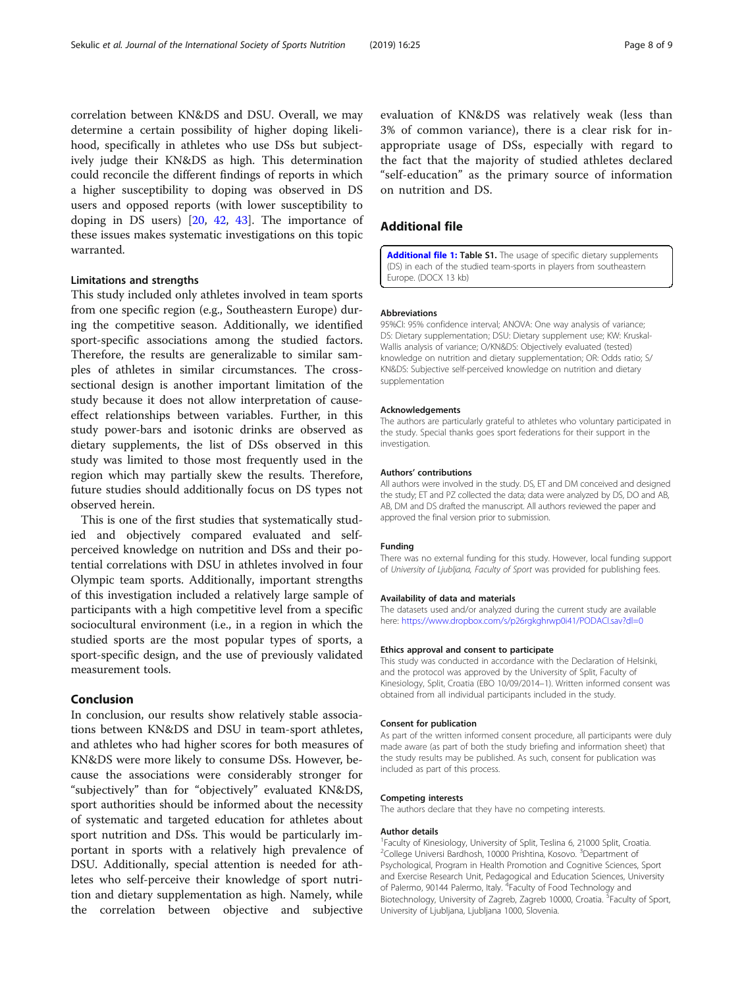<span id="page-7-0"></span>correlation between KN&DS and DSU. Overall, we may determine a certain possibility of higher doping likelihood, specifically in athletes who use DSs but subjectively judge their KN&DS as high. This determination could reconcile the different findings of reports in which a higher susceptibility to doping was observed in DS users and opposed reports (with lower susceptibility to doping in DS users) [[20,](#page-8-0) [42](#page-8-0), [43](#page-8-0)]. The importance of these issues makes systematic investigations on this topic warranted.

# Limitations and strengths

This study included only athletes involved in team sports from one specific region (e.g., Southeastern Europe) during the competitive season. Additionally, we identified sport-specific associations among the studied factors. Therefore, the results are generalizable to similar samples of athletes in similar circumstances. The crosssectional design is another important limitation of the study because it does not allow interpretation of causeeffect relationships between variables. Further, in this study power-bars and isotonic drinks are observed as dietary supplements, the list of DSs observed in this study was limited to those most frequently used in the region which may partially skew the results. Therefore, future studies should additionally focus on DS types not observed herein.

This is one of the first studies that systematically studied and objectively compared evaluated and selfperceived knowledge on nutrition and DSs and their potential correlations with DSU in athletes involved in four Olympic team sports. Additionally, important strengths of this investigation included a relatively large sample of participants with a high competitive level from a specific sociocultural environment (i.e., in a region in which the studied sports are the most popular types of sports, a sport-specific design, and the use of previously validated measurement tools.

### Conclusion

In conclusion, our results show relatively stable associations between KN&DS and DSU in team-sport athletes, and athletes who had higher scores for both measures of KN&DS were more likely to consume DSs. However, because the associations were considerably stronger for "subjectively" than for "objectively" evaluated KN&DS, sport authorities should be informed about the necessity of systematic and targeted education for athletes about sport nutrition and DSs. This would be particularly important in sports with a relatively high prevalence of DSU. Additionally, special attention is needed for athletes who self-perceive their knowledge of sport nutrition and dietary supplementation as high. Namely, while the correlation between objective and subjective

evaluation of KN&DS was relatively weak (less than 3% of common variance), there is a clear risk for inappropriate usage of DSs, especially with regard to the fact that the majority of studied athletes declared "self-education" as the primary source of information on nutrition and DS.

# Additional file

[Additional file 1:](https://doi.org/10.1186/s12970-019-0292-9) Table S1. The usage of specific dietary supplements (DS) in each of the studied team-sports in players from southeastern Europe. (DOCX 13 kb)

### Abbreviations

95%CI: 95% confidence interval; ANOVA: One way analysis of variance; DS: Dietary supplementation; DSU: Dietary supplement use; KW: Kruskal-Wallis analysis of variance; O/KN&DS: Objectively evaluated (tested) knowledge on nutrition and dietary supplementation; OR: Odds ratio; S/ KN&DS: Subjective self-perceived knowledge on nutrition and dietary supplementation

#### Acknowledgements

The authors are particularly grateful to athletes who voluntary participated in the study. Special thanks goes sport federations for their support in the investigation.

#### Authors' contributions

All authors were involved in the study. DS, ET and DM conceived and designed the study; ET and PZ collected the data; data were analyzed by DS, DO and AB, AB, DM and DS drafted the manuscript. All authors reviewed the paper and approved the final version prior to submission.

#### Funding

There was no external funding for this study. However, local funding support of University of Ljubljana, Faculty of Sport was provided for publishing fees.

### Availability of data and materials

The datasets used and/or analyzed during the current study are available here: <https://www.dropbox.com/s/p26rgkghrwp0i41/PODACI.sav?dl=0>

#### Ethics approval and consent to participate

This study was conducted in accordance with the Declaration of Helsinki, and the protocol was approved by the University of Split, Faculty of Kinesiology, Split, Croatia (EBO 10/09/2014–1). Written informed consent was obtained from all individual participants included in the study.

### Consent for publication

As part of the written informed consent procedure, all participants were duly made aware (as part of both the study briefing and information sheet) that the study results may be published. As such, consent for publication was included as part of this process.

### Competing interests

The authors declare that they have no competing interests.

### Author details

<sup>1</sup> Faculty of Kinesiology, University of Split, Teslina 6, 21000 Split, Croatia. <sup>2</sup>College Universi Bardhosh, 10000 Prishtina, Kosovo. <sup>3</sup>Department of Psychological, Program in Health Promotion and Cognitive Sciences, Sport and Exercise Research Unit, Pedagogical and Education Sciences, University of Palermo, 90144 Palermo, Italy. <sup>4</sup> Faculty of Food Technology and Biotechnology, University of Zagreb, Zagreb 10000, Croatia. <sup>5</sup> Faculty of Sport, University of Ljubljana, Ljubljana 1000, Slovenia.